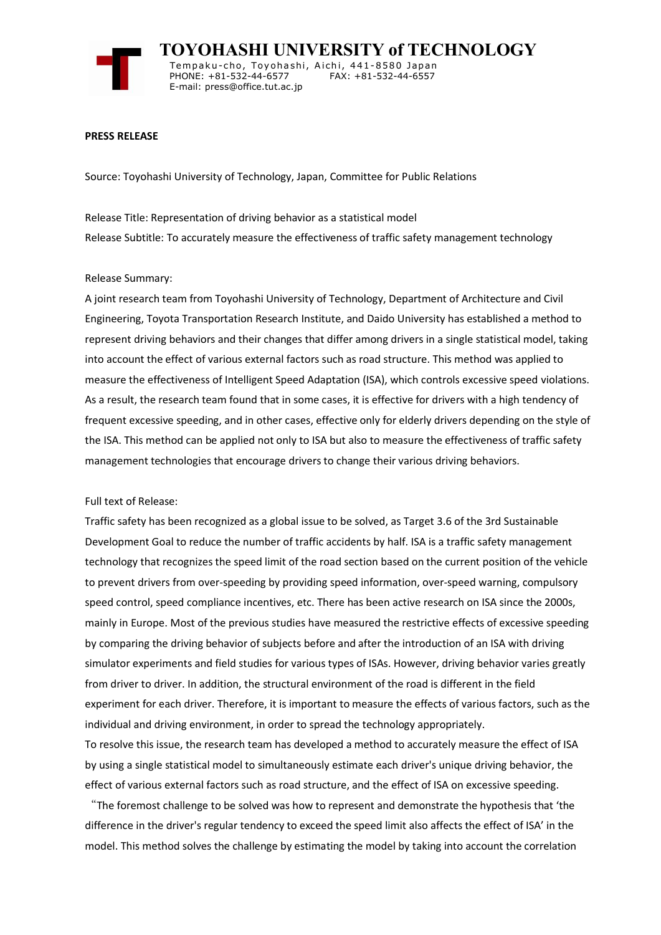

 **TOYOHASHI UNIVERSITY of TECHNOLOGY** Temp a k u-c h o , To y oh a shi , A i ch i , 4 41-858 0 Ja p an PHONE: +81-532-44-6577 E-mail: press@office.tut.ac.jp

## **PRESS RELEASE**

Source: Toyohashi University of Technology, Japan, Committee for Public Relations

Release Title: Representation of driving behavior as a statistical model Release Subtitle: To accurately measure the effectiveness of traffic safety management technology

## Release Summary:

A joint research team from Toyohashi University of Technology, Department of Architecture and Civil Engineering, Toyota Transportation Research Institute, and Daido University has established a method to represent driving behaviors and their changes that differ among drivers in a single statistical model, taking into account the effect of various external factors such as road structure. This method was applied to measure the effectiveness of Intelligent Speed Adaptation (ISA), which controls excessive speed violations. As a result, the research team found that in some cases, it is effective for drivers with a high tendency of frequent excessive speeding, and in other cases, effective only for elderly drivers depending on the style of the ISA. This method can be applied not only to ISA but also to measure the effectiveness of traffic safety management technologies that encourage drivers to change their various driving behaviors.

#### Full text of Release:

Traffic safety has been recognized as a global issue to be solved, as Target 3.6 of the 3rd Sustainable Development Goal to reduce the number of traffic accidents by half. ISA is a traffic safety management technology that recognizes the speed limit of the road section based on the current position of the vehicle to prevent drivers from over-speeding by providing speed information, over-speed warning, compulsory speed control, speed compliance incentives, etc. There has been active research on ISA since the 2000s, mainly in Europe. Most of the previous studies have measured the restrictive effects of excessive speeding by comparing the driving behavior of subjects before and after the introduction of an ISA with driving simulator experiments and field studies for various types of ISAs. However, driving behavior varies greatly from driver to driver. In addition, the structural environment of the road is different in the field experiment for each driver. Therefore, it is important to measure the effects of various factors, such as the individual and driving environment, in order to spread the technology appropriately.

To resolve this issue, the research team has developed a method to accurately measure the effect of ISA by using a single statistical model to simultaneously estimate each driver's unique driving behavior, the effect of various external factors such as road structure, and the effect of ISA on excessive speeding.

"The foremost challenge to be solved was how to represent and demonstrate the hypothesis that 'the difference in the driver's regular tendency to exceed the speed limit also affects the effect of ISA' in the model. This method solves the challenge by estimating the model by taking into account the correlation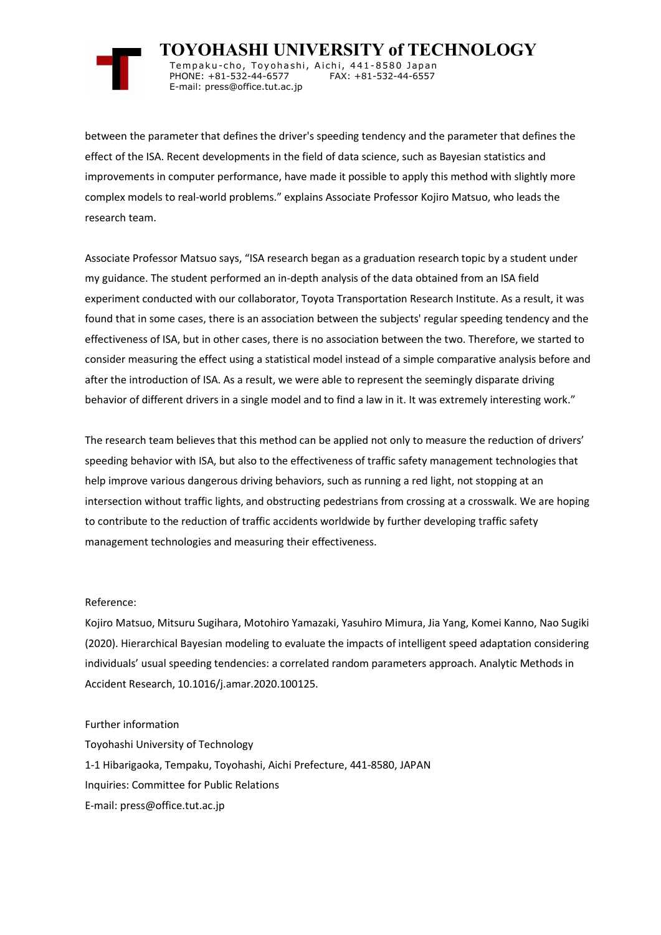

 **TOYOHASHI UNIVERSITY of TECHNOLOGY** Tempaku-cho, Toyohashi, Aichi, 441-8580 Japan<br>PHONE: +81-532-44-6577 FAX: +81-532-44-6557 PHONE: +81-532-44-6577 E-mail: press@office.tut.ac.jp

between the parameter that defines the driver's speeding tendency and the parameter that defines the effect of the ISA. Recent developments in the field of data science, such as Bayesian statistics and improvements in computer performance, have made it possible to apply this method with slightly more complex models to real-world problems." explains Associate Professor Kojiro Matsuo, who leads the research team.

Associate Professor Matsuo says, "ISA research began as a graduation research topic by a student under my guidance. The student performed an in-depth analysis of the data obtained from an ISA field experiment conducted with our collaborator, Toyota Transportation Research Institute. As a result, it was found that in some cases, there is an association between the subjects' regular speeding tendency and the effectiveness of ISA, but in other cases, there is no association between the two. Therefore, we started to consider measuring the effect using a statistical model instead of a simple comparative analysis before and after the introduction of ISA. As a result, we were able to represent the seemingly disparate driving behavior of different drivers in a single model and to find a law in it. It was extremely interesting work."

The research team believes that this method can be applied not only to measure the reduction of drivers' speeding behavior with ISA, but also to the effectiveness of traffic safety management technologies that help improve various dangerous driving behaviors, such as running a red light, not stopping at an intersection without traffic lights, and obstructing pedestrians from crossing at a crosswalk. We are hoping to contribute to the reduction of traffic accidents worldwide by further developing traffic safety management technologies and measuring their effectiveness.

## Reference:

Kojiro Matsuo, Mitsuru Sugihara, Motohiro Yamazaki, Yasuhiro Mimura, Jia Yang, Komei Kanno, Nao Sugiki (2020). Hierarchical Bayesian modeling to evaluate the impacts of intelligent speed adaptation considering individuals' usual speeding tendencies: a correlated random parameters approach. Analytic Methods in Accident Research, 10.1016/j.amar.2020.100125.

Further information

Toyohashi University of Technology 1-1 Hibarigaoka, Tempaku, Toyohashi, Aichi Prefecture, 441-8580, JAPAN Inquiries: Committee for Public Relations E-mail: press@office.tut.ac.jp